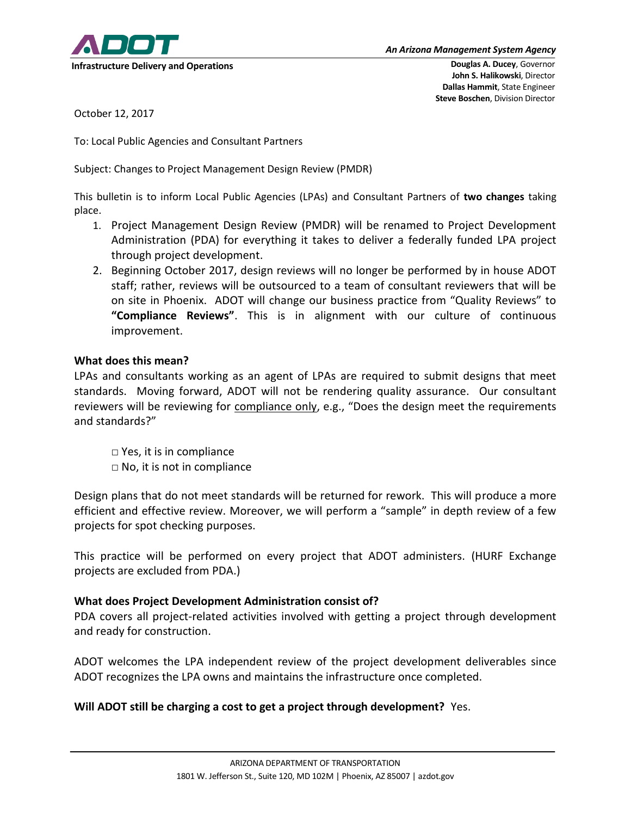

October 12, 2017

To: Local Public Agencies and Consultant Partners

Subject: Changes to Project Management Design Review (PMDR)

This bulletin is to inform Local Public Agencies (LPAs) and Consultant Partners of **two changes** taking place.

- 1. Project Management Design Review (PMDR) will be renamed to Project Development Administration (PDA) for everything it takes to deliver a federally funded LPA project through project development.
- 2. Beginning October 2017, design reviews will no longer be performed by in house ADOT staff; rather, reviews will be outsourced to a team of consultant reviewers that will be on site in Phoenix. ADOT will change our business practice from "Quality Reviews" to **"Compliance Reviews"**. This is in alignment with our culture of continuous improvement.

## **What does this mean?**

LPAs and consultants working as an agent of LPAs are required to submit designs that meet standards. Moving forward, ADOT will not be rendering quality assurance. Our consultant reviewers will be reviewing for compliance only, e.g., "Does the design meet the requirements and standards?"

□ Yes, it is in compliance  $\Box$  No, it is not in compliance

Design plans that do not meet standards will be returned for rework. This will produce a more efficient and effective review. Moreover, we will perform a "sample" in depth review of a few projects for spot checking purposes.

This practice will be performed on every project that ADOT administers. (HURF Exchange projects are excluded from PDA.)

## **What does Project Development Administration consist of?**

PDA covers all project-related activities involved with getting a project through development and ready for construction.

ADOT welcomes the LPA independent review of the project development deliverables since ADOT recognizes the LPA owns and maintains the infrastructure once completed.

## **Will ADOT still be charging a cost to get a project through development?** Yes.